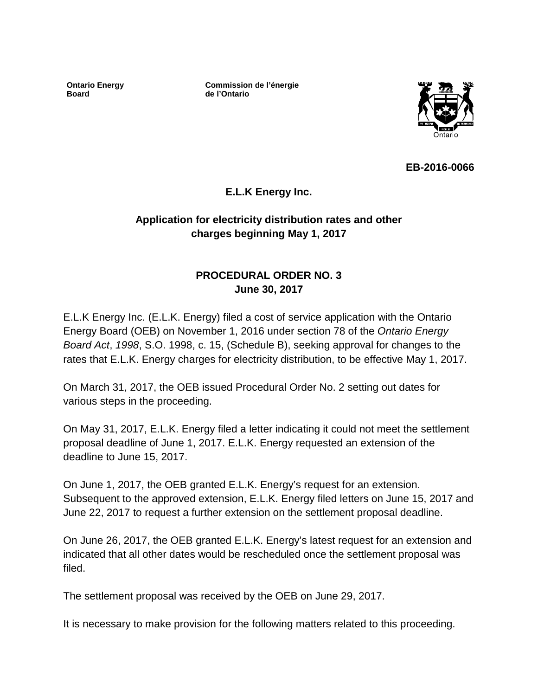**Ontario Energy Board**

**Commission de l'énergie de l'Ontario**



**EB-2016-0066**

## **E.L.K Energy Inc.**

## **Application for electricity distribution rates and other charges beginning May 1, 2017**

## **PROCEDURAL ORDER NO. 3 June 30, 2017**

E.L.K Energy Inc. (E.L.K. Energy) filed a cost of service application with the Ontario Energy Board (OEB) on November 1, 2016 under section 78 of the *Ontario Energy Board Act*, *1998*, S.O. 1998, c. 15, (Schedule B), seeking approval for changes to the rates that E.L.K. Energy charges for electricity distribution, to be effective May 1, 2017.

On March 31, 2017, the OEB issued Procedural Order No. 2 setting out dates for various steps in the proceeding.

On May 31, 2017, E.L.K. Energy filed a letter indicating it could not meet the settlement proposal deadline of June 1, 2017. E.L.K. Energy requested an extension of the deadline to June 15, 2017.

On June 1, 2017, the OEB granted E.L.K. Energy's request for an extension. Subsequent to the approved extension, E.L.K. Energy filed letters on June 15, 2017 and June 22, 2017 to request a further extension on the settlement proposal deadline.

On June 26, 2017, the OEB granted E.L.K. Energy's latest request for an extension and indicated that all other dates would be rescheduled once the settlement proposal was filed.

The settlement proposal was received by the OEB on June 29, 2017.

It is necessary to make provision for the following matters related to this proceeding.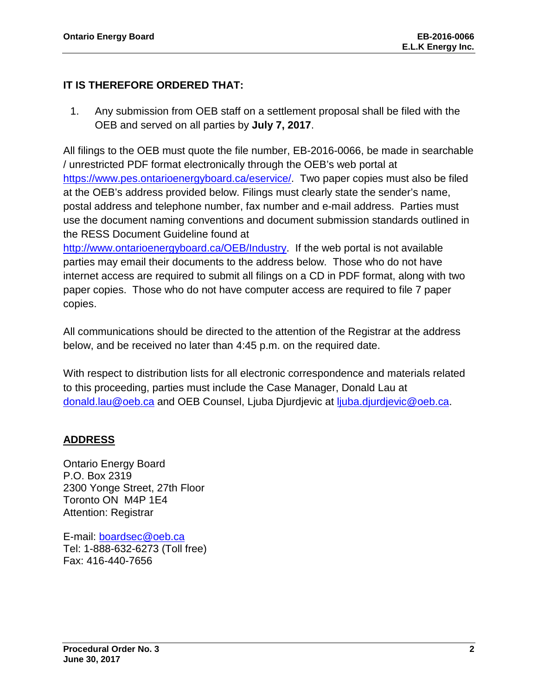#### **IT IS THEREFORE ORDERED THAT:**

1. Any submission from OEB staff on a settlement proposal shall be filed with the OEB and served on all parties by **July 7, 2017**.

All filings to the OEB must quote the file number, EB-2016-0066, be made in searchable / unrestricted PDF format electronically through the OEB's web portal at [https://www.pes.ontarioenergyboard.ca/eservice/.](https://www.pes.ontarioenergyboard.ca/eservice/) Two paper copies must also be filed at the OEB's address provided below. Filings must clearly state the sender's name, postal address and telephone number, fax number and e-mail address. Parties must use the document naming conventions and document submission standards outlined in the RESS Document Guideline found at

[http://www.ontarioenergyboard.ca/OEB/Industry.](http://www.ontarioenergyboard.ca/OEB/Industry) If the web portal is not available parties may email their documents to the address below. Those who do not have internet access are required to submit all filings on a CD in PDF format, along with two paper copies. Those who do not have computer access are required to file 7 paper copies.

All communications should be directed to the attention of the Registrar at the address below, and be received no later than 4:45 p.m. on the required date.

With respect to distribution lists for all electronic correspondence and materials related to this proceeding, parties must include the Case Manager, Donald Lau at [donald.lau@oeb.ca](mailto:donald.lau@oeb.ca) and OEB Counsel, Ljuba Djurdjevic at [ljuba.djurdjevic@oeb.ca.](mailto:ljuba.djurdjevic@oeb.ca)

#### **ADDRESS**

Ontario Energy Board P.O. Box 2319 2300 Yonge Street, 27th Floor Toronto ON M4P 1E4 Attention: Registrar

E-mail: [boardsec@oeb.ca](mailto:boardsec@oeb.ca) Tel: 1-888-632-6273 (Toll free) Fax: 416-440-7656